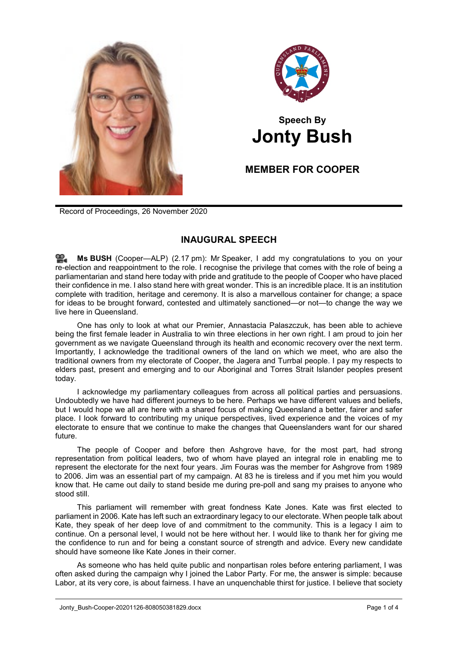



## **Speech By Jonty Bush**

## **MEMBER FOR COOPER**

Record of Proceedings, 26 November 2020

## **INAUGURAL SPEECH**

**Ms [BUSH](http://www.parliament.qld.gov.au/docs/find.aspx?id=0Mba20201126_141714)** (Cooper—ALP) (2.17 pm): Mr Speaker, I add my congratulations to you on your re-election and reappointment to the role. I recognise the privilege that comes with the role of being a parliamentarian and stand here today with pride and gratitude to the people of Cooper who have placed their confidence in me. I also stand here with great wonder. This is an incredible place. It is an institution complete with tradition, heritage and ceremony. It is also a marvellous container for change; a space for ideas to be brought forward, contested and ultimately sanctioned—or not—to change the way we live here in Queensland.

One has only to look at what our Premier, Annastacia Palaszczuk, has been able to achieve being the first female leader in Australia to win three elections in her own right. I am proud to join her government as we navigate Queensland through its health and economic recovery over the next term. Importantly, I acknowledge the traditional owners of the land on which we meet, who are also the traditional owners from my electorate of Cooper, the Jagera and Turrbal people. I pay my respects to elders past, present and emerging and to our Aboriginal and Torres Strait Islander peoples present today.

I acknowledge my parliamentary colleagues from across all political parties and persuasions. Undoubtedly we have had different journeys to be here. Perhaps we have different values and beliefs, but I would hope we all are here with a shared focus of making Queensland a better, fairer and safer place. I look forward to contributing my unique perspectives, lived experience and the voices of my electorate to ensure that we continue to make the changes that Queenslanders want for our shared future.

The people of Cooper and before then Ashgrove have, for the most part, had strong representation from political leaders, two of whom have played an integral role in enabling me to represent the electorate for the next four years. Jim Fouras was the member for Ashgrove from 1989 to 2006. Jim was an essential part of my campaign. At 83 he is tireless and if you met him you would know that. He came out daily to stand beside me during pre-poll and sang my praises to anyone who stood still.

This parliament will remember with great fondness Kate Jones. Kate was first elected to parliament in 2006. Kate has left such an extraordinary legacy to our electorate. When people talk about Kate, they speak of her deep love of and commitment to the community. This is a legacy I aim to continue. On a personal level, I would not be here without her. I would like to thank her for giving me the confidence to run and for being a constant source of strength and advice. Every new candidate should have someone like Kate Jones in their corner.

As someone who has held quite public and nonpartisan roles before entering parliament, I was often asked during the campaign why I joined the Labor Party. For me, the answer is simple: because Labor, at its very core, is about fairness. I have an unquenchable thirst for justice. I believe that society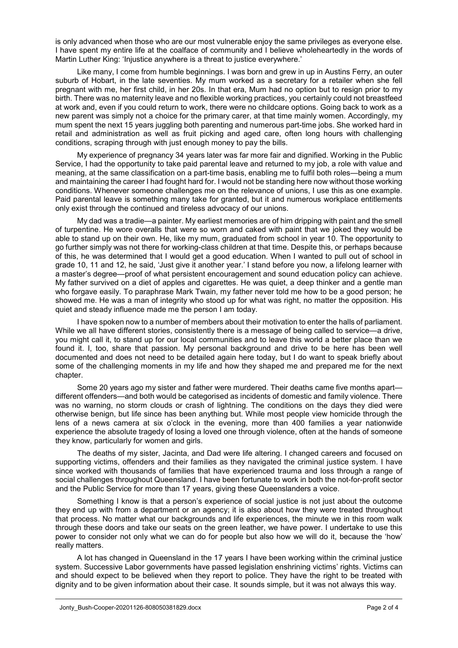is only advanced when those who are our most vulnerable enjoy the same privileges as everyone else. I have spent my entire life at the coalface of community and I believe wholeheartedly in the words of Martin Luther King: 'Injustice anywhere is a threat to justice everywhere.'

Like many, I come from humble beginnings. I was born and grew in up in Austins Ferry, an outer suburb of Hobart, in the late seventies. My mum worked as a secretary for a retailer when she fell pregnant with me, her first child, in her 20s. In that era, Mum had no option but to resign prior to my birth. There was no maternity leave and no flexible working practices, you certainly could not breastfeed at work and, even if you could return to work, there were no childcare options. Going back to work as a new parent was simply not a choice for the primary carer, at that time mainly women. Accordingly, my mum spent the next 15 years juggling both parenting and numerous part-time jobs. She worked hard in retail and administration as well as fruit picking and aged care, often long hours with challenging conditions, scraping through with just enough money to pay the bills.

My experience of pregnancy 34 years later was far more fair and dignified. Working in the Public Service, I had the opportunity to take paid parental leave and returned to my job, a role with value and meaning, at the same classification on a part-time basis, enabling me to fulfil both roles—being a mum and maintaining the career I had fought hard for. I would not be standing here now without those working conditions. Whenever someone challenges me on the relevance of unions, I use this as one example. Paid parental leave is something many take for granted, but it and numerous workplace entitlements only exist through the continued and tireless advocacy of our unions.

My dad was a tradie—a painter. My earliest memories are of him dripping with paint and the smell of turpentine. He wore overalls that were so worn and caked with paint that we joked they would be able to stand up on their own. He, like my mum, graduated from school in year 10. The opportunity to go further simply was not there for working-class children at that time. Despite this, or perhaps because of this, he was determined that I would get a good education. When I wanted to pull out of school in grade 10, 11 and 12, he said, 'Just give it another year.' I stand before you now, a lifelong learner with a master's degree—proof of what persistent encouragement and sound education policy can achieve. My father survived on a diet of apples and cigarettes. He was quiet, a deep thinker and a gentle man who forgave easily. To paraphrase Mark Twain, my father never told me how to be a good person; he showed me. He was a man of integrity who stood up for what was right, no matter the opposition. His quiet and steady influence made me the person I am today.

I have spoken now to a number of members about their motivation to enter the halls of parliament. While we all have different stories, consistently there is a message of being called to service—a drive, you might call it, to stand up for our local communities and to leave this world a better place than we found it. I, too, share that passion. My personal background and drive to be here has been well documented and does not need to be detailed again here today, but I do want to speak briefly about some of the challenging moments in my life and how they shaped me and prepared me for the next chapter.

Some 20 years ago my sister and father were murdered. Their deaths came five months apart different offenders—and both would be categorised as incidents of domestic and family violence. There was no warning, no storm clouds or crash of lightning. The conditions on the days they died were otherwise benign, but life since has been anything but. While most people view homicide through the lens of a news camera at six o'clock in the evening, more than 400 families a year nationwide experience the absolute tragedy of losing a loved one through violence, often at the hands of someone they know, particularly for women and girls.

The deaths of my sister, Jacinta, and Dad were life altering. I changed careers and focused on supporting victims, offenders and their families as they navigated the criminal justice system. I have since worked with thousands of families that have experienced trauma and loss through a range of social challenges throughout Queensland. I have been fortunate to work in both the not-for-profit sector and the Public Service for more than 17 years, giving these Queenslanders a voice.

Something I know is that a person's experience of social justice is not just about the outcome they end up with from a department or an agency; it is also about how they were treated throughout that process. No matter what our backgrounds and life experiences, the minute we in this room walk through these doors and take our seats on the green leather, we have power. I undertake to use this power to consider not only what we can do for people but also how we will do it, because the 'how' really matters.

A lot has changed in Queensland in the 17 years I have been working within the criminal justice system. Successive Labor governments have passed legislation enshrining victims' rights. Victims can and should expect to be believed when they report to police. They have the right to be treated with dignity and to be given information about their case. It sounds simple, but it was not always this way.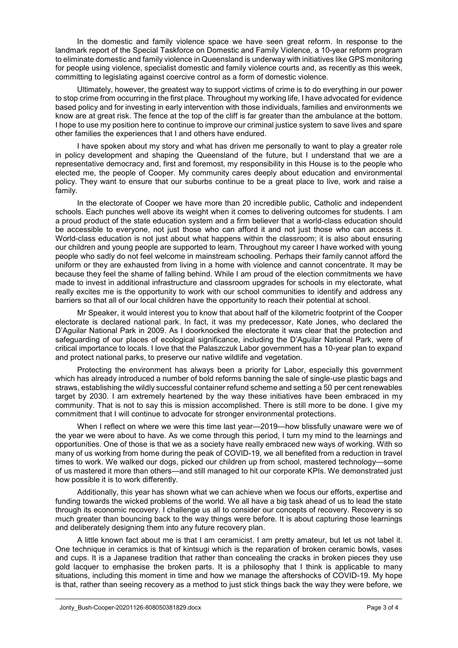In the domestic and family violence space we have seen great reform. In response to the landmark report of the Special Taskforce on Domestic and Family Violence, a 10-year reform program to eliminate domestic and family violence in Queensland is underway with initiatives like GPS monitoring for people using violence, specialist domestic and family violence courts and, as recently as this week, committing to legislating against coercive control as a form of domestic violence.

Ultimately, however, the greatest way to support victims of crime is to do everything in our power to stop crime from occurring in the first place. Throughout my working life, I have advocated for evidence based policy and for investing in early intervention with those individuals, families and environments we know are at great risk. The fence at the top of the cliff is far greater than the ambulance at the bottom. I hope to use my position here to continue to improve our criminal justice system to save lives and spare other families the experiences that I and others have endured.

I have spoken about my story and what has driven me personally to want to play a greater role in policy development and shaping the Queensland of the future, but I understand that we are a representative democracy and, first and foremost, my responsibility in this House is to the people who elected me, the people of Cooper. My community cares deeply about education and environmental policy. They want to ensure that our suburbs continue to be a great place to live, work and raise a family.

In the electorate of Cooper we have more than 20 incredible public, Catholic and independent schools. Each punches well above its weight when it comes to delivering outcomes for students. I am a proud product of the state education system and a firm believer that a world-class education should be accessible to everyone, not just those who can afford it and not just those who can access it. World-class education is not just about what happens within the classroom; it is also about ensuring our children and young people are supported to learn. Throughout my career I have worked with young people who sadly do not feel welcome in mainstream schooling. Perhaps their family cannot afford the uniform or they are exhausted from living in a home with violence and cannot concentrate. It may be because they feel the shame of falling behind. While I am proud of the election commitments we have made to invest in additional infrastructure and classroom upgrades for schools in my electorate, what really excites me is the opportunity to work with our school communities to identify and address any barriers so that all of our local children have the opportunity to reach their potential at school.

Mr Speaker, it would interest you to know that about half of the kilometric footprint of the Cooper electorate is declared national park. In fact, it was my predecessor, Kate Jones, who declared the D'Aguilar National Park in 2009. As I doorknocked the electorate it was clear that the protection and safeguarding of our places of ecological significance, including the D'Aguilar National Park, were of critical importance to locals. I love that the Palaszczuk Labor government has a 10-year plan to expand and protect national parks, to preserve our native wildlife and vegetation.

Protecting the environment has always been a priority for Labor, especially this government which has already introduced a number of bold reforms banning the sale of single-use plastic bags and straws, establishing the wildly successful container refund scheme and setting a 50 per cent renewables target by 2030. I am extremely heartened by the way these initiatives have been embraced in my community. That is not to say this is mission accomplished. There is still more to be done. I give my commitment that I will continue to advocate for stronger environmental protections.

When I reflect on where we were this time last year—2019—how blissfully unaware were we of the year we were about to have. As we come through this period, I turn my mind to the learnings and opportunities. One of those is that we as a society have really embraced new ways of working. With so many of us working from home during the peak of COVID-19, we all benefited from a reduction in travel times to work. We walked our dogs, picked our children up from school, mastered technology—some of us mastered it more than others—and still managed to hit our corporate KPIs. We demonstrated just how possible it is to work differently.

Additionally, this year has shown what we can achieve when we focus our efforts, expertise and funding towards the wicked problems of the world. We all have a big task ahead of us to lead the state through its economic recovery. I challenge us all to consider our concepts of recovery. Recovery is so much greater than bouncing back to the way things were before. It is about capturing those learnings and deliberately designing them into any future recovery plan.

A little known fact about me is that I am ceramicist. I am pretty amateur, but let us not label it. One technique in ceramics is that of kintsugi which is the reparation of broken ceramic bowls, vases and cups. It is a Japanese tradition that rather than concealing the cracks in broken pieces they use gold lacquer to emphasise the broken parts. It is a philosophy that I think is applicable to many situations, including this moment in time and how we manage the aftershocks of COVID-19. My hope is that, rather than seeing recovery as a method to just stick things back the way they were before, we